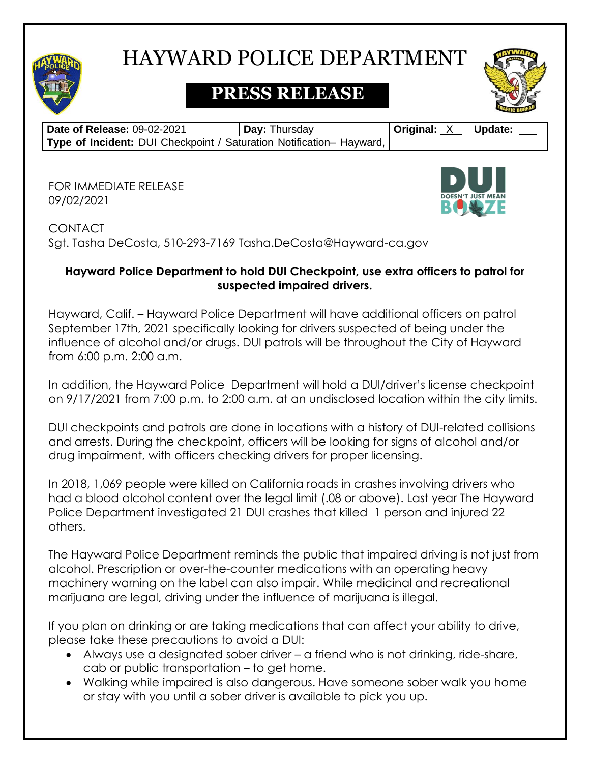

# HAYWARD POLICE DEPARTMENT

# **PRESS RELEASE**

| Date of Release: 09-02-2021                                          | <b>Day: Thursday</b> | <b>Original: X</b> | Update: |
|----------------------------------------------------------------------|----------------------|--------------------|---------|
| Type of Incident: DUI Checkpoint / Saturation Notification- Hayward, |                      |                    |         |

FOR IMMEDIATE RELEASE 09/02/2021



**CONTACT** Sgt. Tasha DeCosta, 510-293-7169 Tasha.DeCosta@Hayward-ca.gov

### **Hayward Police Department to hold DUI Checkpoint, use extra officers to patrol for suspected impaired drivers.**

Hayward, Calif. – Hayward Police Department will have additional officers on patrol September 17th, 2021 specifically looking for drivers suspected of being under the influence of alcohol and/or drugs. DUI patrols will be throughout the City of Hayward from 6:00 p.m. 2:00 a.m.

In addition, the Hayward Police Department will hold a DUI/driver's license checkpoint on 9/17/2021 from 7:00 p.m. to 2:00 a.m. at an undisclosed location within the city limits.

DUI checkpoints and patrols are done in locations with a history of DUI-related collisions and arrests. During the checkpoint, officers will be looking for signs of alcohol and/or drug impairment, with officers checking drivers for proper licensing.

In 2018, 1,069 people were killed on California roads in crashes involving drivers who had a blood alcohol content over the legal limit (.08 or above). Last year The Hayward Police Department investigated 21 DUI crashes that killed 1 person and injured 22 others.

The Hayward Police Department reminds the public that impaired driving is not just from alcohol. Prescription or over-the-counter medications with an operating heavy machinery warning on the label can also impair. While medicinal and recreational marijuana are legal, driving under the influence of marijuana is illegal.

If you plan on drinking or are taking medications that can affect your ability to drive, please take these precautions to avoid a DUI:

- Always use a designated sober driver a friend who is not drinking, ride-share, cab or public transportation – to get home.
- Walking while impaired is also dangerous. Have someone sober walk you home or stay with you until a sober driver is available to pick you up.